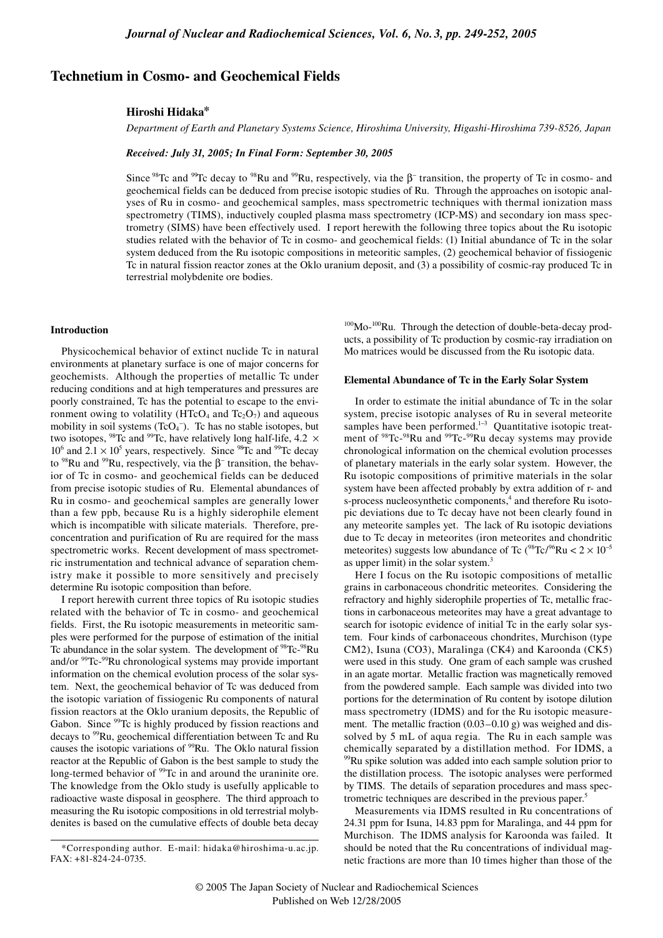# **Technetium in Cosmo- and Geochemical Fields**

# **Hiroshi Hidaka\***

*Department of Earth and Planetary Systems Science, Hiroshima University, Higashi-Hiroshima 739-8526, Japan*

## *Received: July 31, 2005; In Final Form: September 30, 2005*

Since <sup>98</sup>Tc and <sup>99</sup>Tc decay to <sup>98</sup>Ru and <sup>99</sup>Ru, respectively, via the  $\beta^-$  transition, the property of Tc in cosmo- and geochemical fields can be deduced from precise isotopic studies of Ru. Through the approaches on isotopic analyses of Ru in cosmo- and geochemical samples, mass spectrometric techniques with thermal ionization mass spectrometry (TIMS), inductively coupled plasma mass spectrometry (ICP-MS) and secondary ion mass spectrometry (SIMS) have been effectively used. I report herewith the following three topics about the Ru isotopic studies related with the behavior of Tc in cosmo- and geochemical fields: (1) Initial abundance of Tc in the solar system deduced from the Ru isotopic compositions in meteoritic samples, (2) geochemical behavior of fissiogenic Tc in natural fission reactor zones at the Oklo uranium deposit, and (3) a possibility of cosmic-ray produced Tc in terrestrial molybdenite ore bodies.

### **Introduction**

Physicochemical behavior of extinct nuclide Tc in natural environments at planetary surface is one of major concerns for geochemists. Although the properties of metallic Tc under reducing conditions and at high temperatures and pressures are poorly constrained, Tc has the potential to escape to the environment owing to volatility (HTcO<sub>4</sub> and Tc<sub>2</sub>O<sub>7</sub>) and aqueous mobility in soil systems  $(TcO<sub>4</sub><sup>-</sup>)$ . Tc has no stable isotopes, but two isotopes,  $98$ Tc and  $99$ Tc, have relatively long half-life, 4.2  $\times$  $10^6$  and  $2.1 \times 10^5$  years, respectively. Since <sup>98</sup>Tc and <sup>99</sup>Tc decay to <sup>98</sup>Ru and <sup>99</sup>Ru, respectively, via the  $β$ <sup>-</sup> transition, the behavior of Tc in cosmo- and geochemical fields can be deduced from precise isotopic studies of Ru. Elemental abundances of Ru in cosmo- and geochemical samples are generally lower than a few ppb, because Ru is a highly siderophile element which is incompatible with silicate materials. Therefore, preconcentration and purification of Ru are required for the mass spectrometric works. Recent development of mass spectrometric instrumentation and technical advance of separation chemistry make it possible to more sensitively and precisely determine Ru isotopic composition than before.

I report herewith current three topics of Ru isotopic studies related with the behavior of Tc in cosmo- and geochemical fields. First, the Ru isotopic measurements in meteoritic samples were performed for the purpose of estimation of the initial Tc abundance in the solar system. The development of <sup>98</sup>Tc-<sup>98</sup>Ru and/or <sup>99</sup>Tc-<sup>99</sup>Ru chronological systems may provide important information on the chemical evolution process of the solar system. Next, the geochemical behavior of Tc was deduced from the isotopic variation of fissiogenic Ru components of natural fission reactors at the Oklo uranium deposits, the Republic of Gabon. Since <sup>99</sup>Tc is highly produced by fission reactions and decays to <sup>99</sup>Ru, geochemical differentiation between Tc and Ru causes the isotopic variations of <sup>99</sup>Ru. The Oklo natural fission reactor at the Republic of Gabon is the best sample to study the long-termed behavior of <sup>99</sup>Tc in and around the uraninite ore. The knowledge from the Oklo study is usefully applicable to radioactive waste disposal in geosphere. The third approach to measuring the Ru isotopic compositions in old terrestrial molybdenites is based on the cumulative effects of double beta decay

 $100$ Mo- $100$ Ru. Through the detection of double-beta-decay products, a possibility of Tc production by cosmic-ray irradiation on Mo matrices would be discussed from the Ru isotopic data.

#### **Elemental Abundance of Tc in the Early Solar System**

In order to estimate the initial abundance of Tc in the solar system, precise isotopic analyses of Ru in several meteorite samples have been performed.<sup>1-3</sup> Quantitative isotopic treatment of <sup>98</sup>Tc-<sup>98</sup>Ru and <sup>99</sup>Tc-<sup>99</sup>Ru decay systems may provide chronological information on the chemical evolution processes of planetary materials in the early solar system. However, the Ru isotopic compositions of primitive materials in the solar system have been affected probably by extra addition of r- and s-process nucleosynthetic components,<sup>4</sup> and therefore Ru isotopic deviations due to Tc decay have not been clearly found in any meteorite samples yet. The lack of Ru isotopic deviations due to Tc decay in meteorites (iron meteorites and chondritic meteorites) suggests low abundance of Tc ( $98$ Tc/ $96$ Ru < 2 × 10<sup>-5</sup> as upper limit) in the solar system.<sup>3</sup>

Here I focus on the Ru isotopic compositions of metallic grains in carbonaceous chondritic meteorites. Considering the refractory and highly siderophile properties of Tc, metallic fractions in carbonaceous meteorites may have a great advantage to search for isotopic evidence of initial Tc in the early solar system. Four kinds of carbonaceous chondrites, Murchison (type CM2), Isuna (CO3), Maralinga (CK4) and Karoonda (CK5) were used in this study. One gram of each sample was crushed in an agate mortar. Metallic fraction was magnetically removed from the powdered sample. Each sample was divided into two portions for the determination of Ru content by isotope dilution mass spectrometry (IDMS) and for the Ru isotopic measurement. The metallic fraction (0.03–0.10 g) was weighed and dissolved by 5 mL of aqua regia. The Ru in each sample was chemically separated by a distillation method. For IDMS, a <sup>99</sup>Ru spike solution was added into each sample solution prior to the distillation process. The isotopic analyses were performed by TIMS. The details of separation procedures and mass spectrometric techniques are described in the previous paper.5

Measurements via IDMS resulted in Ru concentrations of 24.31 ppm for Isuna, 14.83 ppm for Maralinga, and 44 ppm for Murchison. The IDMS analysis for Karoonda was failed. It should be noted that the Ru concentrations of individual magnetic fractions are more than 10 times higher than those of the

<sup>\*</sup>Corresponding author. E-mail: hidaka@hiroshima-u.ac.jp. FAX: +81-824-24-0735.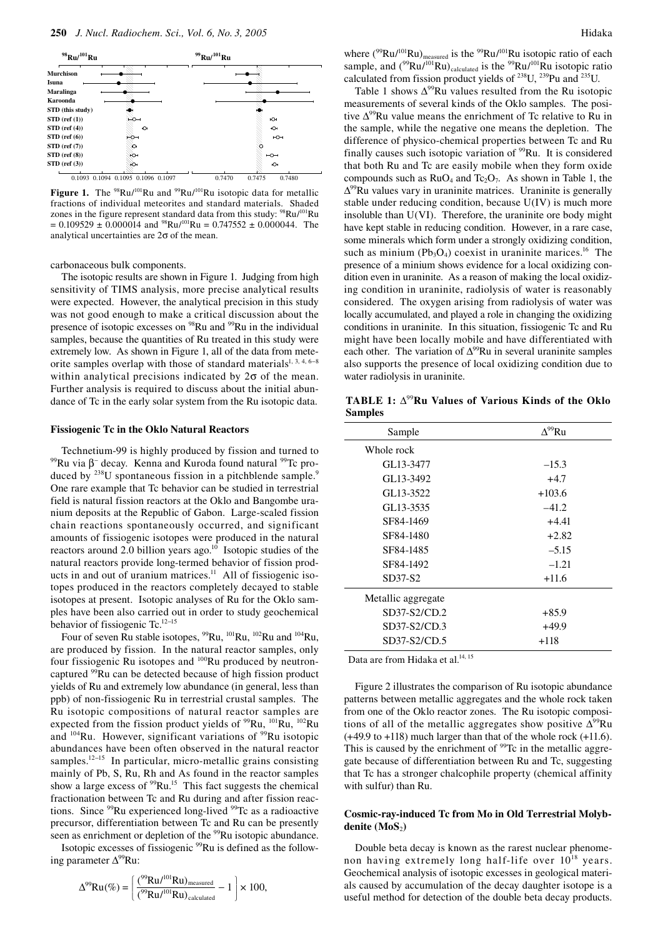

Figure 1. The <sup>98</sup>Ru/<sup>101</sup>Ru and <sup>99</sup>Ru/<sup>101</sup>Ru isotopic data for metallic fractions of individual meteorites and standard materials. Shaded zones in the figure represent standard data from this study: <sup>98</sup>Ru/<sup>101</sup>Ru  $= 0.109529 \pm 0.000014$  and <sup>98</sup>Ru/<sup>101</sup>Ru = 0.747552  $\pm$  0.000044. The analytical uncertainties are 2σ of the mean.

carbonaceous bulk components.

The isotopic results are shown in Figure 1. Judging from high sensitivity of TIMS analysis, more precise analytical results were expected. However, the analytical precision in this study was not good enough to make a critical discussion about the presence of isotopic excesses on <sup>98</sup>Ru and <sup>99</sup>Ru in the individual samples, because the quantities of Ru treated in this study were extremely low. As shown in Figure 1, all of the data from meteorite samples overlap with those of standard materials<sup>1, 3, 4, 6-8</sup> within analytical precisions indicated by  $2\sigma$  of the mean. Further analysis is required to discuss about the initial abundance of Tc in the early solar system from the Ru isotopic data.

#### **Fissiogenic Tc in the Oklo Natural Reactors**

Technetium-99 is highly produced by fission and turned to <sup>99</sup>Ru via β<sup>−</sup> decay. Kenna and Kuroda found natural <sup>99</sup>Tc produced by  $238$ U spontaneous fission in a pitchblende sample.<sup>9</sup> One rare example that Tc behavior can be studied in terrestrial field is natural fission reactors at the Oklo and Bangombe uranium deposits at the Republic of Gabon. Large-scaled fission chain reactions spontaneously occurred, and significant amounts of fissiogenic isotopes were produced in the natural reactors around 2.0 billion years ago.<sup>10</sup> Isotopic studies of the natural reactors provide long-termed behavior of fission products in and out of uranium matrices. $11$  All of fissiogenic isotopes produced in the reactors completely decayed to stable isotopes at present. Isotopic analyses of Ru for the Oklo samples have been also carried out in order to study geochemical behavior of fissiogenic Tc.12−15

Four of seven Ru stable isotopes, <sup>99</sup>Ru, <sup>101</sup>Ru, <sup>102</sup>Ru and <sup>104</sup>Ru, are produced by fission. In the natural reactor samples, only four fissiogenic Ru isotopes and <sup>100</sup>Ru produced by neutroncaptured 99Ru can be detected because of high fission product yields of Ru and extremely low abundance (in general, less than ppb) of non-fissiogenic Ru in terrestrial crustal samples. The Ru isotopic compositions of natural reactor samples are expected from the fission product yields of  $^{99}Ru$ ,  $^{101}Ru$ ,  $^{102}Ru$ and <sup>104</sup>Ru. However, significant variations of <sup>99</sup>Ru isotopic abundances have been often observed in the natural reactor samples.<sup>12−15</sup> In particular, micro-metallic grains consisting mainly of Pb, S, Ru, Rh and As found in the reactor samples show a large excess of  $^{99}Ru$ .<sup>15</sup> This fact suggests the chemical fractionation between Tc and Ru during and after fission reactions. Since  $99Ru$  experienced long-lived  $99Tc$  as a radioactive precursor, differentiation between Tc and Ru can be presently seen as enrichment or depletion of the <sup>99</sup>Ru isotopic abundance.

Isotopic excesses of fissiogenic 99Ru is defined as the following parameter ∆99Ru:

$$
\Delta^{99}\text{Ru}(\%) = \left(\frac{^{99}\text{Ru}^{101}\text{Ru}}{^{99}\text{Ru}^{101}\text{Ru}}\right)_{\text{calculated}} - 1\right) \times 100,
$$

where  $(^{99}Ru/^{101}Ru)_{measured}$  is the  $^{99}Ru/^{101}Ru$  isotopic ratio of each sample, and  $(^{99}Ru/^{101}Ru)_{calculated}$  is the  $^{99}Ru/^{101}Ru$  isotopic ratio calculated from fission product yields of  $^{238}$ U,  $^{239}$ Pu and  $^{235}$ U.

Table 1 shows  $\Delta^{99}$ Ru values resulted from the Ru isotopic measurements of several kinds of the Oklo samples. The positive  $\Delta^{99}$ Ru value means the enrichment of Tc relative to Ru in the sample, while the negative one means the depletion. The difference of physico-chemical properties between Tc and Ru finally causes such isotopic variation of  $99$ Ru. It is considered that both Ru and Tc are easily mobile when they form oxide compounds such as  $RuO_4$  and  $Te_2O_7$ . As shown in Table 1, the  $\Delta^{99}$ Ru values vary in uraninite matrices. Uraninite is generally stable under reducing condition, because U(IV) is much more insoluble than U(VI). Therefore, the uraninite ore body might have kept stable in reducing condition. However, in a rare case, some minerals which form under a strongly oxidizing condition, such as minium ( $Pb_3O_4$ ) coexist in uraninite marices.<sup>16</sup> The presence of a minium shows evidence for a local oxidizing condition even in uraninite. As a reason of making the local oxidizing condition in uraninite, radiolysis of water is reasonably considered. The oxygen arising from radiolysis of water was locally accumulated, and played a role in changing the oxidizing conditions in uraninite. In this situation, fissiogenic Tc and Ru might have been locally mobile and have differentiated with each other. The variation of  $\Delta^{99}$ Ru in several uraninite samples also supports the presence of local oxidizing condition due to water radiolysis in uraninite.

**TABLE 1:** ∆<sup>99</sup>**Ru Values of Various Kinds of the Oklo Samples**

| Sample             | $\Delta^{99}Ru$ |
|--------------------|-----------------|
| Whole rock         |                 |
| GL13-3477          | $-15.3$         |
| GL13-3492          | $+4.7$          |
| GL13-3522          | $+103.6$        |
| GL13-3535          | $-41.2$         |
| SF84-1469          | $+4.41$         |
| SF84-1480          | $+2.82$         |
| SF84-1485          | $-5.15$         |
| SF84-1492          | $-1.21$         |
| SD37-S2            | $+11.6$         |
| Metallic aggregate |                 |
| SD37-S2/CD.2       | +85.9           |
| SD37-S2/CD.3       | $+49.9$         |
| SD37-S2/CD.5       | +118            |

Data are from Hidaka et al.<sup>14, 15</sup>

Figure 2 illustrates the comparison of Ru isotopic abundance patterns between metallic aggregates and the whole rock taken from one of the Oklo reactor zones. The Ru isotopic compositions of all of the metallic aggregates show positive  $\Delta^{99}Ru$ (+49.9 to +118) much larger than that of the whole rock (+11.6). This is caused by the enrichment of  $99$ Tc in the metallic aggregate because of differentiation between Ru and Tc, suggesting that Tc has a stronger chalcophile property (chemical affinity with sulfur) than Ru.

# **Cosmic-ray-induced Tc from Mo in Old Terrestrial Molyb**denite (MoS<sub>2</sub>)

Double beta decay is known as the rarest nuclear phenomenon having extremely long half-life over  $10^{18}$  years. Geochemical analysis of isotopic excesses in geological materials caused by accumulation of the decay daughter isotope is a useful method for detection of the double beta decay products.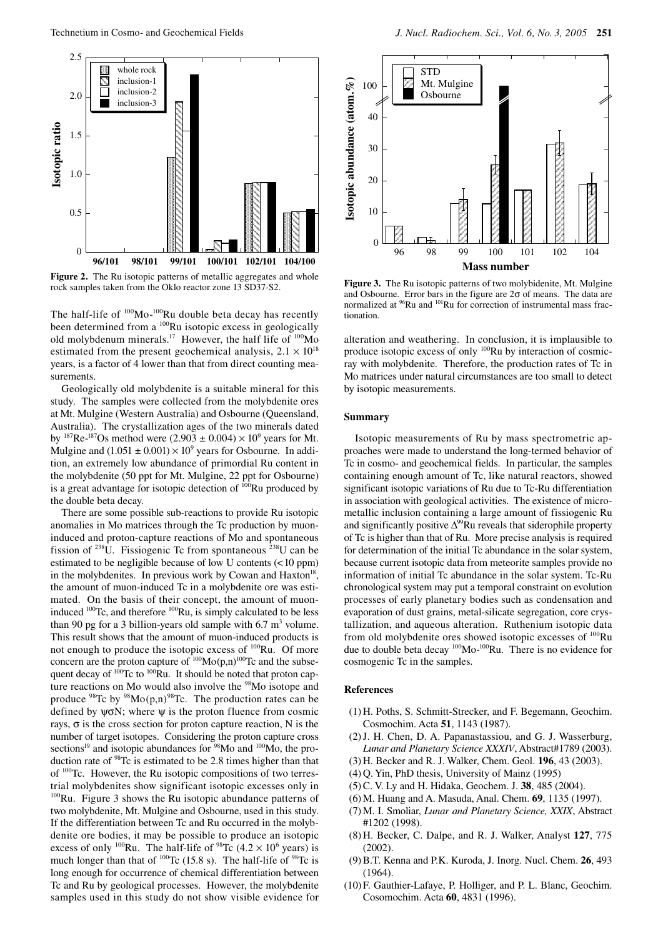

Figure 2. The Ru isotopic patterns of metallic aggregates and whole rock samples taken from the Oklo reactor zone 13 SD37-S2.

The half-life of  $^{100}$ Mo- $^{100}$ Ru double beta decay has recently been determined from a  $^{100}$ Ru isotopic excess in geologically old molybdenum minerals.<sup>17</sup> However, the half life of  $100M$ o estimated from the present geochemical analysis,  $2.1 \times 10^{18}$ years, is a factor of 4 lower than that from direct counting measurements.

Geologically old molybdenite is a suitable mineral for this study. The samples were collected from the molybdenite ores at Mt. Mulgine (Western Australia) and Osbourne (Queensland, Australia). The crystallization ages of the two minerals dated by <sup>187</sup>Re-<sup>187</sup>Os method were (2.903  $\pm$  0.004)  $\times$  10<sup>9</sup> years for Mt. Mulgine and  $(1.051 \pm 0.001) \times 10^9$  years for Osbourne. In addition, an extremely low abundance of primordial Ru content in the molybdenite (50 ppt for Mt. Mulgine, 22 ppt for Osbourne) is a great advantage for isotopic detection of 100Ru produced by the double beta decay.

There are some possible sub-reactions to provide Ru isotopic anomalies in Mo matrices through the Tc production by muoninduced and proton-capture reactions of Mo and spontaneous fission of  $238$ U. Fissiogenic Tc from spontaneous  $238$ U can be estimated to be negligible because of low U contents (<10 ppm) in the molybdenites. In previous work by Cowan and Haxton<sup>18</sup>, the amount of muon-induced Tc in a molybdenite ore was estimated. On the basis of their concept, the amount of muoninduced <sup>100</sup>Tc, and therefore <sup>100</sup>Ru, is simply calculated to be less than 90 pg for a 3 billion-years old sample with  $6.7 \text{ m}^3$  volume. This result shows that the amount of muon-induced products is not enough to produce the isotopic excess of <sup>100</sup>Ru. Of more concern are the proton capture of  $100$ Mo(p,n)<sup>100</sup>Tc and the subsequent decay of  $100Tc$  to  $100Ru$ . It should be noted that proton capture reactions on Mo would also involve the <sup>98</sup>Mo isotope and produce  $98$ Tc by  $98$ Mo(p,n)<sup>98</sup>Tc. The production rates can be defined by  $\psi \sigma N$ ; where  $\psi$  is the proton fluence from cosmic rays,  $\sigma$  is the cross section for proton capture reaction, N is the number of target isotopes. Considering the proton capture cross sections<sup>19</sup> and isotopic abundances for <sup>98</sup>Mo and <sup>100</sup>Mo, the production rate of <sup>98</sup>Tc is estimated to be 2.8 times higher than that of 100Tc. However, the Ru isotopic compositions of two terrestrial molybdenites show significant isotopic excesses only in 100Ru. Figure 3 shows the Ru isotopic abundance patterns of two molybdenite, Mt. Mulgine and Osbourne, used in this study. If the differentiation between Tc and Ru occurred in the molybdenite ore bodies, it may be possible to produce an isotopic excess of only <sup>100</sup>Ru. The half-life of <sup>98</sup>Tc (4.2  $\times$  10<sup>6</sup> years) is much longer than that of  $^{100}$ Tc (15.8 s). The half-life of  $^{98}$ Tc is long enough for occurrence of chemical differentiation between Tc and Ru by geological processes. However, the molybdenite samples used in this study do not show visible evidence for



**Figure 3.** The Ru isotopic patterns of two molybidenite, Mt. Mulgine and Osbourne. Error bars in the figure are  $2\sigma$  of means. The data are normalized at <sup>96</sup>Ru and <sup>101</sup>Ru for correction of instrumental mass fractionation.

alteration and weathering. In conclusion, it is implausible to produce isotopic excess of only 100Ru by interaction of cosmicray with molybdenite. Therefore, the production rates of Tc in Mo matrices under natural circumstances are too small to detect by isotopic measurements.

## **Summary**

Isotopic measurements of Ru by mass spectrometric approaches were made to understand the long-termed behavior of Tc in cosmo- and geochemical fields. In particular, the samples containing enough amount of Tc, like natural reactors, showed significant isotopic variations of Ru due to Tc-Ru differentiation in association with geological activities. The existence of micrometallic inclusion containing a large amount of fissiogenic Ru and significantly positive  $\Delta^{99}$ Ru reveals that siderophile property of Tc is higher than that of Ru. More precise analysis is required for determination of the initial Tc abundance in the solar system, because current isotopic data from meteorite samples provide no information of initial Tc abundance in the solar system. Tc-Ru chronological system may put a temporal constraint on evolution processes of early planetary bodies such as condensation and evaporation of dust grains, metal-silicate segregation, core crystallization, and aqueous alteration. Ruthenium isotopic data from old molybdenite ores showed isotopic excesses of <sup>100</sup>Ru due to double beta decay <sup>100</sup>Mo-<sup>100</sup>Ru. There is no evidence for cosmogenic Tc in the samples.

#### **References**

- (1) H. Poths, S. Schmitt-Strecker, and F. Begemann, Geochim. Cosmochim. Acta **51**, 1143 (1987).
- (2) J. H. Chen, D. A. Papanastassiou, and G. J. Wasserburg, *Lunar and Planetary Science XXXIV*, Abstract#1789 (2003).
- (3) H. Becker and R. J. Walker, Chem. Geol. **196**, 43 (2003).
- (4) Q. Yin, PhD thesis, University of Mainz (1995)
- (5) C. V. Ly and H. Hidaka, Geochem. J. **38**, 485 (2004).
- (6) M. Huang and A. Masuda, Anal. Chem. **69**, 1135 (1997).
- (7) M. I. Smoliar, *Lunar and Planetary Science, XXIX*, Abstract #1202 (1998).
- (8) H. Becker, C. Dalpe, and R. J. Walker, Analyst **127**, 775  $(2002)$ .
- (9) B.T. Kenna and P.K. Kuroda, J. Inorg. Nucl. Chem. **26**, 493 (1964).
- (10) F. Gauthier-Lafaye, P. Holliger, and P. L. Blanc, Geochim. Cosomochim. Acta **60**, 4831 (1996).